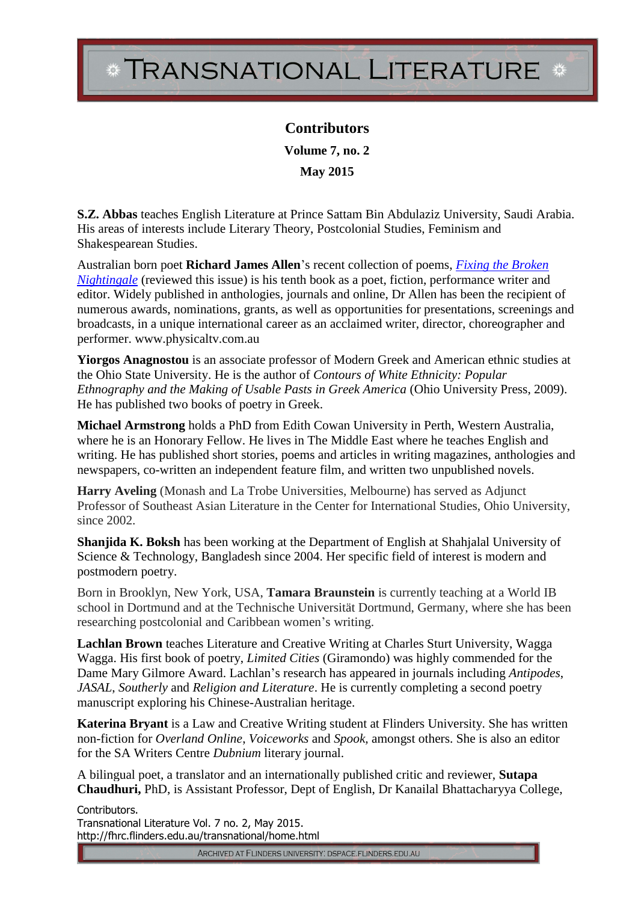## TRANSNATIONAL LITERATURE \*

**Contributors Volume 7, no. 2 May 2015**

**S.Z. Abbas** teaches English Literature at Prince Sattam Bin Abdulaziz University, Saudi Arabia. His areas of interests include Literary Theory, Postcolonial Studies, Feminism and Shakespearean Studies.

Australian born poet **Richard James Allen**'s recent collection of poems, *[Fixing the Broken](http://www.fixingthebrokennightingale.com/)  [Nightingale](http://www.fixingthebrokennightingale.com/)* (reviewed this issue) is his tenth book as a poet, fiction, performance writer and editor. Widely published in anthologies, journals and online, Dr Allen has been the recipient of numerous awards, nominations, grants, as well as opportunities for presentations, screenings and broadcasts, in a unique international career as an acclaimed writer, director, choreographer and performer. www.physicaltv.com.au

**Yiorgos Anagnostou** is an associate professor of Modern Greek and American ethnic studies at the Ohio State University. He is the author of *Contours of White Ethnicity: Popular Ethnography and the Making of Usable Pasts in Greek America* (Ohio University Press, 2009). He has published two books of poetry in Greek.

**Michael Armstrong** holds a PhD from Edith Cowan University in Perth, Western Australia, where he is an Honorary Fellow. He lives in The Middle East where he teaches English and writing. He has published short stories, poems and articles in writing magazines, anthologies and newspapers, co-written an independent feature film, and written two unpublished novels.

**Harry Aveling** (Monash and La Trobe Universities, Melbourne) has served as Adjunct Professor of Southeast Asian Literature in the Center for International Studies, Ohio University, since 2002.

**Shanjida K. Boksh** has been working at the Department of English at Shahjalal University of Science & Technology, Bangladesh since 2004. Her specific field of interest is modern and postmodern poetry.

Born in Brooklyn, New York, USA, **Tamara Braunstein** is currently teaching at a World IB school in Dortmund and at the Technische Universität Dortmund, Germany, where she has been researching postcolonial and Caribbean women's writing.

**Lachlan Brown** teaches Literature and Creative Writing at Charles Sturt University, Wagga Wagga. His first book of poetry, *Limited Cities* (Giramondo) was highly commended for the Dame Mary Gilmore Award. Lachlan's research has appeared in journals including *Antipodes*, *JASAL*, *Southerly* and *Religion and Literature*. He is currently completing a second poetry manuscript exploring his Chinese-Australian heritage.

**Katerina Bryant** is a Law and Creative Writing student at Flinders University. She has written non-fiction for *Overland Online*, *Voiceworks* and *Spook,* amongst others. She is also an editor for the SA Writers Centre *Dubnium* literary journal.

A bilingual poet, a translator and an internationally published critic and reviewer, **Sutapa Chaudhuri,** PhD, is Assistant Professor, Dept of English, Dr Kanailal Bhattacharyya College,

Contributors. Transnational Literature Vol. 7 no. 2, May 2015. http://fhrc.flinders.edu.au/transnational/home.html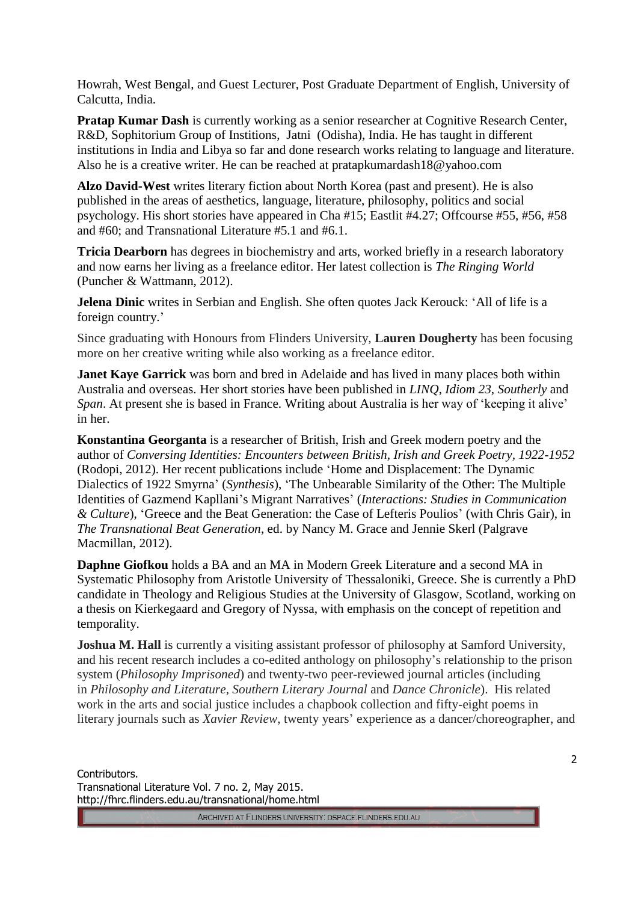Howrah, West Bengal, and Guest Lecturer, Post Graduate Department of English, University of Calcutta, India.

**Pratap Kumar Dash** is currently working as a senior researcher at Cognitive Research Center, R&D, Sophitorium Group of Institions, Jatni (Odisha), India. He has taught in different institutions in India and Libya so far and done research works relating to language and literature. Also he is a creative writer. He can be reached at pratapkumardash18@yahoo.com

**Alzo David-West** writes literary fiction about North Korea (past and present). He is also published in the areas of aesthetics, language, literature, philosophy, politics and social psychology. His short stories have appeared in Cha #15; Eastlit #4.27; Offcourse #55, #56, #58 and #60; and Transnational Literature #5.1 and #6.1.

**Tricia Dearborn** has degrees in biochemistry and arts, worked briefly in a research laboratory and now earns her living as a freelance editor. Her latest collection is *The Ringing World* (Puncher & Wattmann, 2012).

**Jelena Dinic** writes in Serbian and English. She often quotes Jack Kerouck: 'All of life is a foreign country.'

Since graduating with Honours from Flinders University, **Lauren Dougherty** has been focusing more on her creative writing while also working as a freelance editor.

**Janet Kaye Garrick** was born and bred in Adelaide and has lived in many places both within Australia and overseas. Her short stories have been published in *LINQ*, *Idiom 23*, *Southerly* and *Span*. At present she is based in France. Writing about Australia is her way of 'keeping it alive' in her.

**Konstantina Georganta** is a researcher of British, Irish and Greek modern poetry and the author of *Conversing Identities: Encounters between British, Irish and Greek Poetry, 1922-1952* (Rodopi, 2012). Her recent publications include 'Home and Displacement: The Dynamic Dialectics of 1922 Smyrna' (*Synthesis*), 'The Unbearable Similarity of the Other: The Multiple Identities of Gazmend Kapllani's Migrant Narratives' (*Interactions: Studies in Communication & Culture*), 'Greece and the Beat Generation: the Case of Lefteris Poulios' (with Chris Gair), in *The Transnational Beat Generation*, ed. by Nancy M. Grace and Jennie Skerl (Palgrave Macmillan, 2012).

**Daphne Giofkou** holds a BA and an MA in Modern Greek Literature and a second MA in Systematic Philosophy from Aristotle University of Thessaloniki, Greece. She is currently a PhD candidate in Theology and Religious Studies at the University of Glasgow, Scotland, working on a thesis on Kierkegaard and Gregory of Nyssa, with emphasis on the concept of repetition and temporality.

**Joshua M. Hall** is currently a visiting assistant professor of philosophy at Samford University, and his recent research includes a co-edited anthology on philosophy's relationship to the prison system (*Philosophy Imprisoned*) and twenty-two peer-reviewed journal articles (including in *Philosophy and Literature, Southern Literary Journal* and *Dance Chronicle*). His related work in the arts and social justice includes a chapbook collection and fifty-eight poems in literary journals such as *Xavier Review*, twenty years' experience as a dancer/choreographer, and

Contributors. Transnational Literature Vol. 7 no. 2, May 2015. http://fhrc.flinders.edu.au/transnational/home.html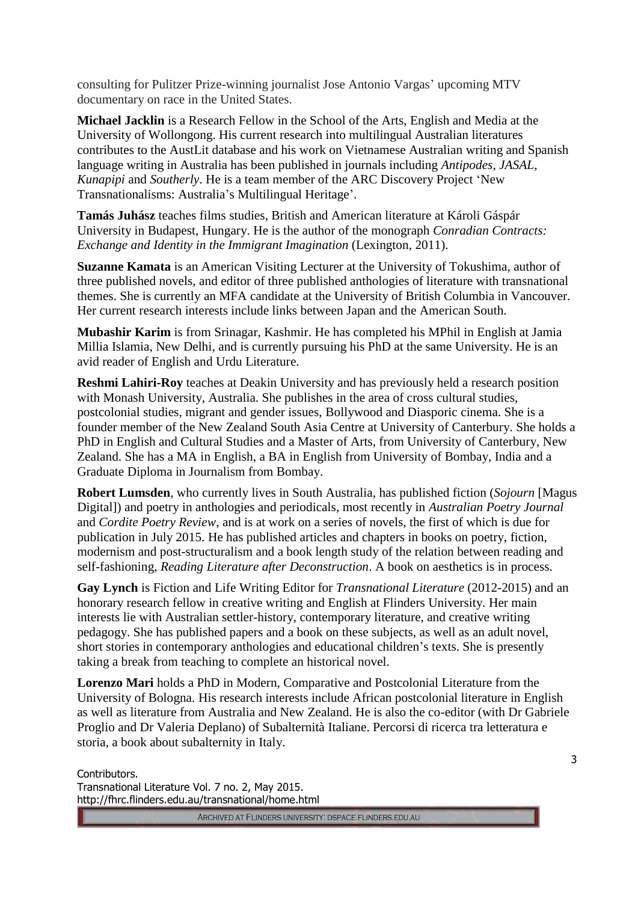consulting for Pulitzer Prize-winning journalist Jose Antonio Vargas' upcoming MTV documentary on race in the United States.

**Michael Jacklin** is a Research Fellow in the School of the Arts, English and Media at the University of Wollongong. His current research into multilingual Australian literatures contributes to the AustLit database and his work on Vietnamese Australian writing and Spanish language writing in Australia has been published in journals including *Antipodes*, *JASAL*, *Kunapipi* and *Southerly*. He is a team member of the ARC Discovery Project 'New Transnationalisms: Australia's Multilingual Heritage'.

**Tamás Juhász** teaches films studies, British and American literature at Károli Gáspár University in Budapest, Hungary. He is the author of the monograph *Conradian Contracts: Exchange and Identity in the Immigrant Imagination* (Lexington, 2011).

**Suzanne Kamata** is an American Visiting Lecturer at the University of Tokushima, author of three published novels, and editor of three published anthologies of literature with transnational themes. She is currently an MFA candidate at the University of British Columbia in Vancouver. Her current research interests include links between Japan and the American South.

**Mubashir Karim** is from Srinagar, Kashmir. He has completed his MPhil in English at Jamia Millia Islamia, New Delhi, and is currently pursuing his PhD at the same University. He is an avid reader of English and Urdu Literature.

**Reshmi Lahiri-Roy** teaches at Deakin University and has previously held a research position with Monash University, Australia. She publishes in the area of cross cultural studies, postcolonial studies, migrant and gender issues, Bollywood and Diasporic cinema. She is a founder member of the New Zealand South Asia Centre at University of Canterbury. She holds a PhD in English and Cultural Studies and a Master of Arts, from University of Canterbury, New Zealand. She has a MA in English, a BA in English from University of Bombay, India and a Graduate Diploma in Journalism from Bombay.

**Robert Lumsden**, who currently lives in South Australia, has published fiction (*Sojourn* [Magus Digital]) and poetry in anthologies and periodicals, most recently in *Australian Poetry Journal* and *Cordite Poetry Review*, and is at work on a series of novels, the first of which is due for publication in July 2015. He has published articles and chapters in books on poetry, fiction, modernism and post-structuralism and a book length study of the relation between reading and self-fashioning, *Reading Literature after Deconstruction*. A book on aesthetics is in process.

**Gay Lynch** is Fiction and Life Writing Editor for *Transnational Literature* (2012-2015) and an honorary research fellow in creative writing and English at Flinders University. Her main interests lie with Australian settler-history, contemporary literature, and creative writing pedagogy. She has published papers and a book on these subjects, as well as an adult novel, short stories in contemporary anthologies and educational children's texts. She is presently taking a break from teaching to complete an historical novel.

**Lorenzo Mari** holds a PhD in Modern, Comparative and Postcolonial Literature from the University of Bologna. His research interests include African postcolonial literature in English as well as literature from Australia and New Zealand. He is also the co-editor (with Dr Gabriele Proglio and Dr Valeria Deplano) of Subalternità Italiane. Percorsi di ricerca tra letteratura e storia, a book about subalternity in Italy.

Contributors. Transnational Literature Vol. 7 no. 2, May 2015. http://fhrc.flinders.edu.au/transnational/home.html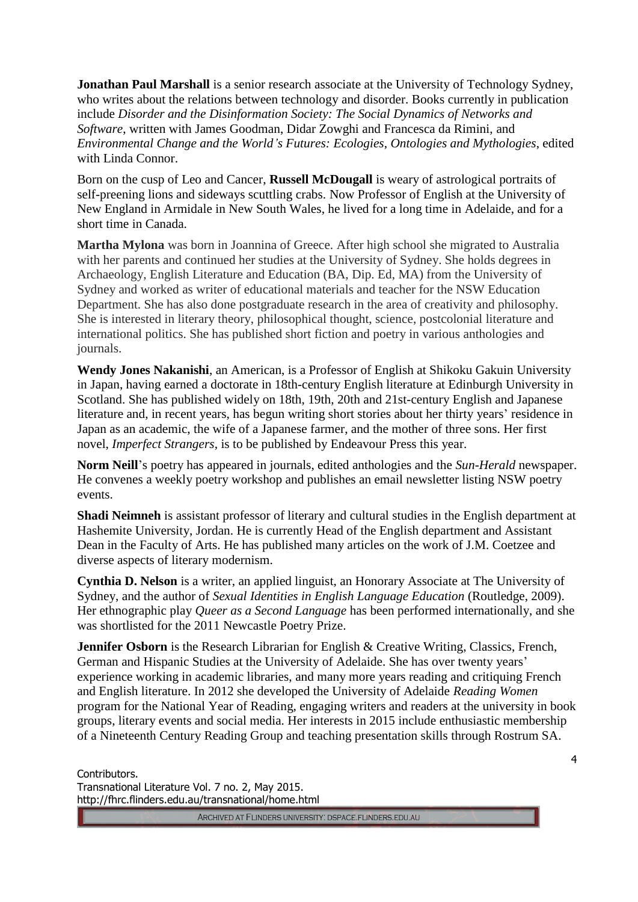**Jonathan Paul Marshall** is a senior research associate at the University of Technology Sydney, who writes about the relations between technology and disorder. Books currently in publication include *Disorder and the Disinformation Society: The Social Dynamics of Networks and Software*, written with James Goodman, Didar Zowghi and Francesca da Rimini, and *Environmental Change and the World's Futures: Ecologies*, *Ontologies and Mythologies*, edited with Linda Connor.

Born on the cusp of Leo and Cancer, **Russell McDougall** is weary of astrological portraits of self-preening lions and sideways scuttling crabs. Now Professor of English at the University of New England in Armidale in New South Wales, he lived for a long time in Adelaide, and for a short time in Canada.

**Martha Mylona** was born in Joannina of Greece. After high school she migrated to Australia with her parents and continued her studies at the University of Sydney. She holds degrees in Archaeology, English Literature and Education (BA, Dip. Ed, MA) from the University of Sydney and worked as writer of educational materials and teacher for the NSW Education Department. She has also done postgraduate research in the area of creativity and philosophy. She is interested in literary theory, philosophical thought, science, postcolonial literature and international politics. She has published short fiction and poetry in various anthologies and journals.

**Wendy Jones Nakanishi**, an American, is a Professor of English at Shikoku Gakuin University in Japan, having earned a doctorate in 18th-century English literature at Edinburgh University in Scotland. She has published widely on 18th, 19th, 20th and 21st-century English and Japanese literature and, in recent years, has begun writing short stories about her thirty years' residence in Japan as an academic, the wife of a Japanese farmer, and the mother of three sons. Her first novel, *Imperfect Strangers*, is to be published by Endeavour Press this year.

**Norm Neill**'s poetry has appeared in journals, edited anthologies and the *Sun-Herald* newspaper. He convenes a weekly poetry workshop and publishes an email newsletter listing NSW poetry events.

**Shadi Neimneh** is assistant professor of literary and cultural studies in the English department at Hashemite University, Jordan. He is currently Head of the English department and Assistant Dean in the Faculty of Arts. He has published many articles on the work of J.M. Coetzee and diverse aspects of literary modernism.

**Cynthia D. Nelson** is a writer, an applied linguist, an Honorary Associate at The University of Sydney, and the author of *Sexual Identities in English Language Education* (Routledge, 2009). Her ethnographic play *Queer as a Second Language* has been performed internationally, and she was shortlisted for the 2011 Newcastle Poetry Prize.

**Jennifer Osborn** is the Research Librarian for English & Creative Writing, Classics, French, German and Hispanic Studies at the University of Adelaide. She has over twenty years' experience working in academic libraries, and many more years reading and critiquing French and English literature. In 2012 she developed the University of Adelaide *Reading Women* program for the National Year of Reading, engaging writers and readers at the university in book groups, literary events and social media. Her interests in 2015 include enthusiastic membership of a Nineteenth Century Reading Group and teaching presentation skills through Rostrum SA.

Contributors. Transnational Literature Vol. 7 no. 2, May 2015. http://fhrc.flinders.edu.au/transnational/home.html

ARCHIVED AT FLINDERS UNIVERSITY: DSPACE.FLINDERS.EDU.AU

4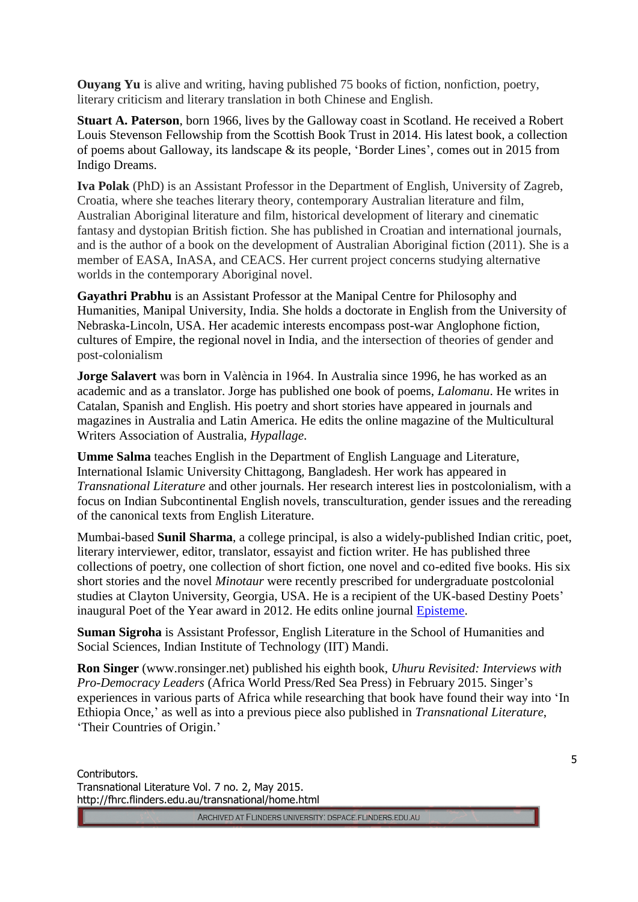**Ouyang Yu** is alive and writing, having published 75 books of fiction, nonfiction, poetry, literary criticism and literary translation in both Chinese and English.

**Stuart A. Paterson**, born 1966, lives by the Galloway coast in Scotland. He received a Robert Louis Stevenson Fellowship from the Scottish Book Trust in 2014. His latest book, a collection of poems about Galloway, its landscape & its people, 'Border Lines', comes out in 2015 from Indigo Dreams.

**Iva Polak** (PhD) is an Assistant Professor in the Department of English, University of Zagreb, Croatia, where she teaches literary theory, contemporary Australian literature and film, Australian Aboriginal literature and film, historical development of literary and cinematic fantasy and dystopian British fiction. She has published in Croatian and international journals, and is the author of a book on the development of Australian Aboriginal fiction (2011). She is a member of EASA, InASA, and CEACS. Her current project concerns studying alternative worlds in the contemporary Aboriginal novel.

**Gayathri Prabhu** is an Assistant Professor at the Manipal Centre for Philosophy and Humanities, Manipal University, India. She holds a doctorate in English from the University of Nebraska-Lincoln, USA. Her academic interests encompass post-war Anglophone fiction, cultures of Empire, the regional novel in India, and the intersection of theories of gender and post-colonialism

**Jorge Salavert** was born in València in 1964. In Australia since 1996, he has worked as an academic and as a translator. Jorge has published one book of poems, *Lalomanu*. He writes in Catalan, Spanish and English. His poetry and short stories have appeared in journals and magazines in Australia and Latin America. He edits the online magazine of the Multicultural Writers Association of Australia, *Hypallage*.

**Umme Salma** teaches English in the Department of English Language and Literature, International Islamic University Chittagong, Bangladesh. Her work has appeared in *Transnational Literature* and other journals. Her research interest lies in postcolonialism, with a focus on Indian Subcontinental English novels, transculturation, gender issues and the rereading of the canonical texts from English Literature.

Mumbai-based **Sunil Sharma**, a college principal, is also a widely-published Indian critic, poet, literary interviewer, editor, translator, essayist and fiction writer. He has published three collections of poetry, one collection of short fiction, one novel and co-edited five books. His six short stories and the novel *Minotaur* were recently prescribed for undergraduate postcolonial studies at Clayton University, Georgia, USA. He is a recipient of the UK-based Destiny Poets' inaugural Poet of the Year award in 2012. He edits online journal **Episteme**.

**Suman Sigroha** is Assistant Professor, English Literature in the School of Humanities and Social Sciences, Indian Institute of Technology (IIT) Mandi.

**Ron Singer** (www.ronsinger.net) published his eighth book, *Uhuru Revisited: Interviews with Pro-Democracy Leaders* (Africa World Press/Red Sea Press) in February 2015. Singer's experiences in various parts of Africa while researching that book have found their way into 'In Ethiopia Once,' as well as into a previous piece also published in *Transnational Literature*, 'Their Countries of Origin.'

Contributors. Transnational Literature Vol. 7 no. 2, May 2015. http://fhrc.flinders.edu.au/transnational/home.html